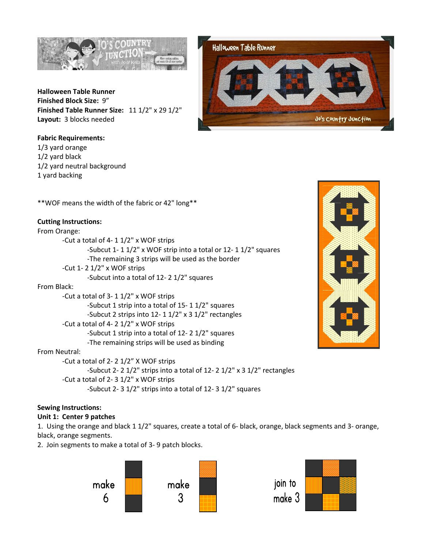

**Halloween Table Runner Finished Block Size:** 9" **Finished Table Runner Size:** 11 1/2" x 29 1/2" **Layout:** 3 blocks needed

**Fabric Requirements:**  1/3 yard orange 1/2 yard black 1/2 yard neutral background 1 yard backing



\*\*WOF means the width of the fabric or 42" long\*\*

# **Cutting Instructions:**

From Orange:

 -Cut a total of 4- 1 1/2" x WOF strips -Subcut 1- 1 1/2" x WOF strip into a total or 12- 1 1/2" squares -The remaining 3 strips will be used as the border -Cut 1- 2 1/2" x WOF strips -Subcut into a total of 12- 2 1/2" squares

# From Black:

 -Cut a total of 3- 1 1/2" x WOF strips -Subcut 1 strip into a total of 15- 1 1/2" squares -Subcut 2 strips into 12- 1 1/2" x 3 1/2" rectangles -Cut a total of 4- 2 1/2" x WOF strips -Subcut 1 strip into a total of 12- 2 1/2" squares -The remaining strips will be used as binding

# From Neutral:

 -Cut a total of 2- 2 1/2" X WOF strips -Subcut 2- 2 1/2" strips into a total of 12- 2 1/2" x 3 1/2" rectangles -Cut a total of 2- 3 1/2" x WOF strips -Subcut 2- 3 1/2" strips into a total of 12- 3 1/2" squares

# **Sewing Instructions:**

# **Unit 1: Center 9 patches**

1. Using the orange and black 1 1/2" squares, create a total of 6- black, orange, black segments and 3- orange, black, orange segments.

2. Join segments to make a total of 3- 9 patch blocks.